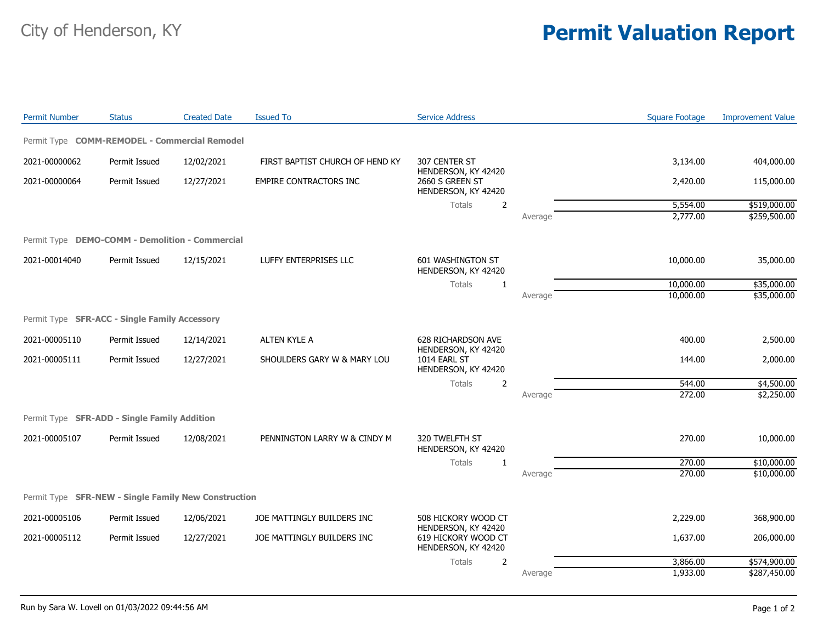## City of Henderson, KY **Permit Valuation Report**

| <b>Permit Number</b>                                 | <b>Status</b> | <b>Created Date</b> | <b>Issued To</b>                | <b>Service Address</b>                                        |         | <b>Square Footage</b> | <b>Improvement Value</b> |
|------------------------------------------------------|---------------|---------------------|---------------------------------|---------------------------------------------------------------|---------|-----------------------|--------------------------|
| Permit Type COMM-REMODEL - Commercial Remodel        |               |                     |                                 |                                                               |         |                       |                          |
| 2021-00000062                                        | Permit Issued | 12/02/2021          | FIRST BAPTIST CHURCH OF HEND KY | 307 CENTER ST                                                 |         | 3,134.00              | 404,000.00               |
| 2021-00000064                                        | Permit Issued | 12/27/2021          | <b>EMPIRE CONTRACTORS INC</b>   | HENDERSON, KY 42420<br>2660 S GREEN ST<br>HENDERSON, KY 42420 |         | 2,420.00              | 115,000.00               |
|                                                      |               |                     |                                 | <b>Totals</b><br>$\overline{2}$                               |         | 5,554.00              | \$519,000.00             |
|                                                      |               |                     |                                 |                                                               | Average | 2,777.00              | \$259,500.00             |
| Permit Type DEMO-COMM - Demolition - Commercial      |               |                     |                                 |                                                               |         |                       |                          |
| 2021-00014040                                        | Permit Issued | 12/15/2021          | LUFFY ENTERPRISES LLC           | 601 WASHINGTON ST<br>HENDERSON, KY 42420                      |         | 10,000.00             | 35,000.00                |
|                                                      |               |                     |                                 | <b>Totals</b><br>1                                            |         | 10,000.00             | \$35,000.00              |
|                                                      |               |                     |                                 |                                                               | Average | 10,000.00             | \$35,000.00              |
| Permit Type SFR-ACC - Single Family Accessory        |               |                     |                                 |                                                               |         |                       |                          |
| 2021-00005110                                        | Permit Issued | 12/14/2021          | ALTEN KYLE A                    | 628 RICHARDSON AVE<br>HENDERSON, KY 42420                     |         | 400.00                | 2,500.00                 |
| 2021-00005111                                        | Permit Issued | 12/27/2021          | SHOULDERS GARY W & MARY LOU     | 1014 EARL ST<br>HENDERSON, KY 42420                           |         | 144.00                | 2,000.00                 |
|                                                      |               |                     |                                 | <b>Totals</b><br>$\overline{2}$                               |         | 544.00                | \$4,500.00               |
|                                                      |               |                     |                                 |                                                               | Average | 272.00                | \$2,250.00               |
| Permit Type SFR-ADD - Single Family Addition         |               |                     |                                 |                                                               |         |                       |                          |
| 2021-00005107                                        | Permit Issued | 12/08/2021          | PENNINGTON LARRY W & CINDY M    | 320 TWELFTH ST<br>HENDERSON, KY 42420                         |         | 270.00                | 10,000.00                |
|                                                      |               |                     |                                 | Totals<br>-1                                                  |         | 270.00                | \$10,000.00              |
|                                                      |               |                     |                                 |                                                               | Average | 270.00                | \$10,000.00              |
| Permit Type SFR-NEW - Single Family New Construction |               |                     |                                 |                                                               |         |                       |                          |
| 2021-00005106                                        | Permit Issued | 12/06/2021          | JOE MATTINGLY BUILDERS INC      | 508 HICKORY WOOD CT<br>HENDERSON, KY 42420                    |         | 2,229.00              | 368,900.00               |
| 2021-00005112                                        | Permit Issued | 12/27/2021          | JOE MATTINGLY BUILDERS INC      | 619 HICKORY WOOD CT<br>HENDERSON, KY 42420                    |         | 1,637.00              | 206,000.00               |
|                                                      |               |                     |                                 | Totals<br>$\overline{2}$                                      |         | 3,866.00              | \$574,900.00             |
|                                                      |               |                     |                                 |                                                               | Average | 1,933.00              | \$287,450.00             |
|                                                      |               |                     |                                 |                                                               |         |                       |                          |